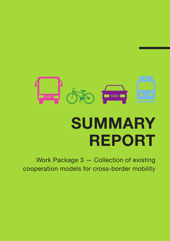

Work Package 3 — Collection of existing cooperation models for cross-border mobility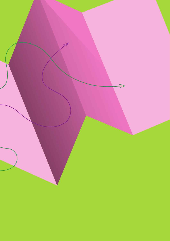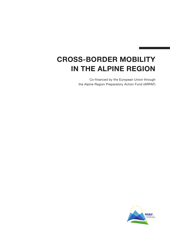# Cross-border mobility in the Alpine Region

Co-financed by the European Union through the Alpine Region Preparatory Action Fund (ARPAF)

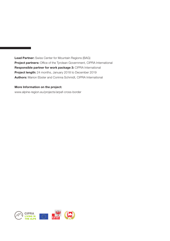Lead Partner: Swiss Center for Mountain Regions (BAG) Project partners: Office of the Tyrolean Government, CIPRA International Responsible partner for work package 3: CIPRA International Project length: 24 months, January 2018 to December 2019 Authors: Marion Ebster and Corinna Schmidt, CIPRA International

### More Information on the project:

www.alpine-region.eu/projects/arpaf-cross-border

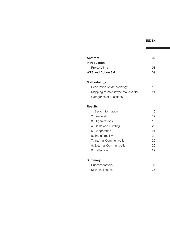# **INDEX**

and the state of the state of the state of

| Abstract                           | 07 |
|------------------------------------|----|
| <b>Introduction</b>                |    |
| <b>Project Aims</b>                | 08 |
| WP3 and Action 3.4                 | 09 |
|                                    |    |
| <b>Methodology</b>                 |    |
| Description of Methodology         | 10 |
| Mapping of interviewed stakeholder | 11 |
| Categories of questions            | 13 |
|                                    |    |
| <b>Results</b>                     |    |
| 1. Basic Information               | 15 |
| 2. Leadership                      | 17 |
| 3. Organizations                   | 18 |
| 4. Costs and Funding               | 20 |
| 5. Cooperation                     | 21 |
| 6. Transferability                 | 24 |
| 7. Internal Communication          | 25 |
| 8. External Communication          | 26 |
| 9. Reflection                      | 29 |
|                                    |    |

# **Summary**

| Success factors | 35 |
|-----------------|----|
| Main challenges | 36 |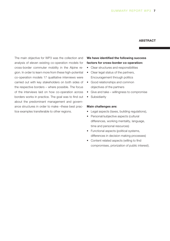#### ABSTRACT

The main objective for WP3 was the collection and analysis of eleven existing co-operation models for cross-border commuter mobility in the Alpine region. In order to learn more from these high-potential co-operation models 17 qualitative interviews were carried out with key stakeholders on both sides of the respective borders – where possible. The focus of the interviews laid on how co-operation across borders works in practice. The goal was to find out about the predominant management and governance structures in order to make –these best practice examples transferable to other regions.

# We have identified the following success factors for cross-border co-operation:

- • Clear structures and responsibilities
- Clear legal status of the partners, Encouragement through politics
- Good relationships and common objectives of the partners
- Give and take willingness to compromise
- Subsidiarity

#### Main challenges are:

- Legal aspects (taxes, building regulations),
- • Personal/subjective aspects (cultural differences, working mentality, language, time and personal resources)
- Functional aspects (political systems, differences in decision making processes)
- Content related aspects (willing to find compromises, priorization of public interest).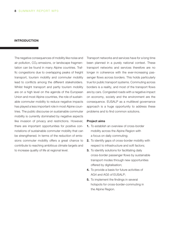#### **INTRODUCTION**

The negative consequences of mobility like noise and air pollution, CO<sub>2</sub>-emssions, or landscape fragmentation can be found in many Alpine countries. Traffic congestions due to overlapping peaks of freight transport, tourism mobility and commuter mobility lead to conflicts among the different stakeholders. Whilst freight transport and partly tourism mobility are on a high level on the agenda of the European Union and most Alpine countries, the role of sustainable commuter mobility to reduce negative impacts has played a less important role in most Alpine countries. The public discourse on sustainable commuter mobility is currently dominated by negative aspects like invasion of privacy and restrictions. However, there are important opportunities for positive connotations of sustainable commuter mobility that can be strengthened. In terms of the reduction of emissions commuter mobility offers a great chance to contribute to reaching ambitious climate targets and to increase quality of life at regional level.

Transport networks and services have for a long time been planned in a purely national context. These transport networks and services therefore are no longer in coherence with the ever-increasing passenger flows across borders. This holds particularly true for public transport systems. Commuting across borders is a reality, and most of the transport flows are by cars. Congested roads with a negative impact on economy, society and the environment are the consequence. EUSALP as a multilevel governance approach is a huge opportunity to address these problems and to find common solutions.

#### Project aims

- 1. To establish an overview of cross-border mobility across the Alpine Region with a focus on daily commuting;
- 2. To identify gaps of cross-border mobility with respect to infrastructure and soft factors;
- **3.** To identify solutions for facilitating daily cross-border passenger flows by sustainable transport modes through new opportunities offered by digitalisation;
- 4. To provide a basis for future activities of AG4 and AG5 of EUSALP;
- **5.** To implement the findings in several hotspots for cross-border-commuting in the Alpine Region.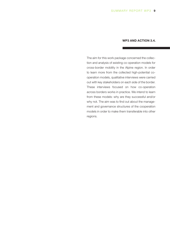#### WP3 AND ACTION 3.4.

The aim for this work package concerned the collection and analysis of existing co-operation models for cross-border mobility in the Alpine region. In order to learn more from the collected high-potential cooperation models, qualitative interviews were carried out with key stakeholders on each side of the border. These interviews focused on how co-operation across borders works in practice. We intend to learn from these models: why are they successful and/or why not. The aim was to find out about the management and governance structures of the cooperation models in order to make them transferable into other regions.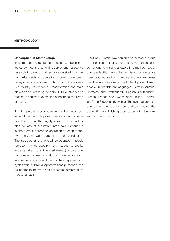#### **METHODOLOGY**

#### Description of Methodology

In a first step co-operation models have been collected by means of an online survey and respective research in order to gather more detailed information. Afterwards co-operation models have been categorized and analysed with focus on the respective country, the mode of transportation and main stakeholders (crossing borders). CIPRA intended to present a variety of examples concerning the listed aspects.

11 high-potential co-operation models were selected together with project partners and observers. Those were thoroughly looked at in a further step by way of qualitative interviews. Because it is about cross-border co-operation for each model two interviews were supposed to be conducted. The selected and analysed co-operation models represent a wide spectrum with respect to spatial aspects (urban, rural, intermediate etc.), to organization (project, loose network, train connection etc.), involved actors, mode of transportation (pedestrian, cycle traffic, public transport etc.) and purpose of the co-operation (network and exchange, infrastructure measures etc.).

5 out of 22 interviews couldn't be carried out due to difficulties in finding the respective contact person or due to missing answers in e-mail contact or poor availability. Two of those missing contacts are from Italy, two are from France and one is from Austria. The interviews were conducted by five different people, in five different languages: German (Austria, Germany and Switzerland), English (Switzerland), French (France and Switzerland), Italian (Switzerland) and Slovenian (Slovenia). The average duration of one interview was one hour and ten minutes, the pre-editing and finishing process per interview took around twenty hours.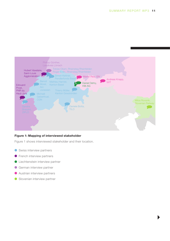

### Figure 1: Mapping of interviewed stakeholder

Figure 1 shows interviewed stakeholder and their location.

- **Swiss interview partners**
- **•** French interview partners
- **C** Liechtenstein interview partner
- German interview partner
- Austrian interview partners
- Slovenian interview partner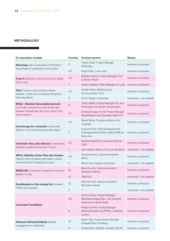### **METHODOLOGY**

| <b>Co-operation models</b>                                                                                                                       | <b>Country</b>         | <b>Contact person</b>                                                                               | <b>Status</b>             |
|--------------------------------------------------------------------------------------------------------------------------------------------------|------------------------|-----------------------------------------------------------------------------------------------------|---------------------------|
| <b>Rheinsteg:</b> New construction of the Rhein-<br>steg-Bridge for pedestrians and cyclists                                                     | $\Box$                 | Tobias Obert, Project Manager<br>Rheinsteg                                                          | Interview conducted       |
|                                                                                                                                                  | <b>CH</b>              | Roger Erdin, Town clerk                                                                             | Interview conducted       |
| <b>Tram 3:</b> Extension of the tramline from Basel<br>to St. Louis                                                                              | <b>CH</b>              | Mathieu Harnist, Project Manager Tram<br>3, Kanton Basel                                            | Interview conducted       |
|                                                                                                                                                  | F                      | Hubert Vaxelaire, Project Manager, St. Louis                                                        | Interview conducted       |
| TILO: Cross-border suburban railway<br>between Tessin and Lombardei, Binational<br>train association.                                            | <b>CH</b>              | Daniele Botta, Marketing and<br>Communication TILO                                                  | Interview conducted       |
|                                                                                                                                                  | $\mathsf{I}\mathsf{T}$ | Tilo IT; Region Lombardei                                                                           | contacted - not available |
| <b>BÜGA - Bündner Generalabonnement:</b><br>Commuter connections in the border belt<br>between Graubünden and Tyrol, South Tyrol<br>and Lombardy | $\mathsf D$            | Thierry Müller, Project Manager ÖV, Amt<br>für Energie und Verkehr Graubünden                       | Interview conducted       |
|                                                                                                                                                  | AT                     | Andreas Knapp, former Project Manager<br>Mobilitätsplanung & Bestellermarkt VVT                     | Interview conducted       |
| <b>Covoiturage Arc Jurassien: Carpooling</b><br>platform in the french/suisse border region                                                      | CH                     | Benoit Morel, Chargé de Mission Arc<br>Jurassien                                                    | Interview conducted       |
|                                                                                                                                                  | F                      | Edouard Prost, Pôle Développement<br>Aménagement Directeur Adjoint PNR du<br>Haut-Jura              | Interview conducted       |
| <b>Commuter ship Lake Geneva: Connections</b><br>between Lausanne and Evian/Thonon                                                               | СH                     | Michaël Gaberthuel, Directeur financier<br><b>CGN</b>                                               | Interview conducted       |
|                                                                                                                                                  | F                      | Jean Denais, Mayor of Thonon-les-Bains                                                              | contacted - not available |
| <b>ZIPLO, Mobility Center Plan-des-Ouates:</b><br>Platform that centralizes information, advice<br>and solutions for all aspects of travel       | <b>CH</b>              | Sandra Brazzini, Directrice adjointe<br><b>ZIPLO</b>                                                | Interview conducted       |
|                                                                                                                                                  | F                      | Mme Fucile, Espace Lémanique                                                                        | contacted - not available |
| <b>REGIO AS:</b> Commuter connection/train from<br>Maribor to Graz                                                                               | <b>SL</b>              | Milos Rovsnik, Directors assistent<br>Slovenian Railway                                             | Interview conducted       |
|                                                                                                                                                  | AT                     | ÖBB Süd                                                                                             | contacted - not available |
| Revitalisation of the railway line between<br>Trieste and Ljubljana                                                                              | SL                     | Milos Rovsnik, Directors assistent<br>Slovenian Railway                                             | Interview conducted       |
|                                                                                                                                                  | $\mathsf{I}\mathsf{T}$ | ?                                                                                                   | contacted - not available |
| <b>Commuter Fund Basel</b>                                                                                                                       | <b>CH</b>              | Simon Kettner, Project Manager<br>Mobilitätsstrategie Bau- und Verkehrs-<br>departement Basel-Stadt | Interview conducted       |
|                                                                                                                                                  | $\Box$                 | Philipp Günther, Project Manager<br>Nahverkehrsplanung (ÖPNV), Landlkreis<br>Lörrach                | Interview conducted       |
| Netzwerk Wirtschaft Mobil: Mobility<br>management in enterprises                                                                                 | AT                     | Martin Reis, Project leader Mobilität<br>Energieinstitut Vorarlberg                                 | Interview conducted       |
|                                                                                                                                                  | <b>FL</b>              | Daniel Oehry, Mobility manager Hilti AG                                                             | Interview conducted       |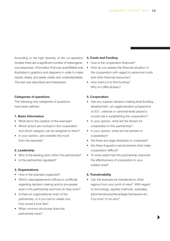According to the high diversity of the co-operation models there are a significant number of heterogeneous responses. Information that was quantifiable was illustrated in graphics and diagrams in order to make results clearly and easily visible and understandable. The rest was described and interpreted.

#### Categories of questions

The following nine categories of questions have been defined:

#### 1. Basic Information

- What led to the creation of the example?
- Which actors are involved in the cooperation and which category can be assigned to them?
- In your opinion, who benefits the most from the example?

#### 2. Leadership

- Who is the leading party within the partnership?
- Is the partnership regulated?

### 3. Organizations

- How is the example organized?
- Which rules/agreements (official or unofficial) regarding decision making and/or processes exist in the partnership and how do they work?
- Is there an organizational chart of the partnership, or if you had to create one, how would it look like?
- What common structures does the partnership have?

### 4. Costs and Funding

- How is the cooperation financed?
- How do you assess the financial situation of the cooperation with regard to personnel costs and other financial resources?
- How hard is it to find funding? Why is it difficult/easy?

#### 5. Cooperation

- Has any superior decision-making level (funding-, development- a/o agglomeration-programme on EU-, national or cantonal level) played a crucial role in establishing the cooperation?
- In your opinion, what are the drivers for cooperation in this partnership?
- In your opinion, what are the barriers to cooperation?
- Are there any legal obstacles to cooperate?
- Are there linguistic/cultural barriers that make cooperation difficult?
- To what extent has this partnership improved the effectiveness of cooperation in your subject area?

### 6. Transferability

• Can the example be transferred to other regions from your point of view? With regard to technology, applied methods, subsidies, administrative/political/legal framework etc. If so how? If not why?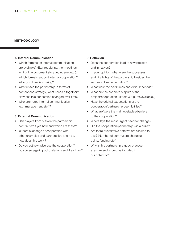#### **METHODOLOGY**

#### 7. Internal Communication

- Which formats for internal communication are available? (E.g. regular partner meetings, joint online document storage, intranet etc.). Which formats support internal cooperation? What you think is missing?
- What unites the partnership in terms of content and strategy, what keeps it together? How has this connection changed over time?
- Who promotes internal communication (e.g. management etc.)?

### 8. External Communication

- Can players from outside the partnership contribute? If yes how and which are these?
- Is there exchange or cooperation with other examples and partnerships and if so, how does this work?
- Do you actively advertise the cooperation? Do you engage in public relations and if so, how?

### 9. Reflexion

- Does the cooperation lead to new projects and initiatives?
- In your opinion, what were the successes and highlights of the partnership besides the successful implementation?
- What were the hard times and difficult periods?
- • What are the concrete outputs of the project/cooperation? (Facts & Figures available?)
- Have the original expectations of the cooperation/partnership been fulfilled?
- What are/were the main obstacles/barriers to the cooperation?
- Where lays the most urgent need for change?
- Did the cooperation/partnership win a prize?
- Are there quantitative data we are allowed to use? (Number of commuters changing trains, funding etc.)
- Why is this partnership a good practice example and should be included in our collection?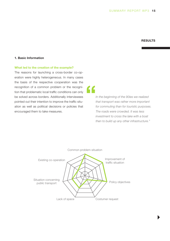#### 1. Basic Information

#### What led to the creation of the example?

The reasons for launching a cross-border co-operation were highly heterogeneous. In many cases the basis of the respective cooperation was the recognition of a common problem or the recognition that problematic local traffic conditions can only be solved across borders. Additionally interviewees pointed out their intention to improve the traffic situation as well as political decisions or policies that encouraged them to take measures.

In the beginning of the 90ies we realized that transport was rather more important for commuting than for touristic purposes. The roads were crowded. It was less investment to cross the lake with a boat then to build up any other infrastructure."



"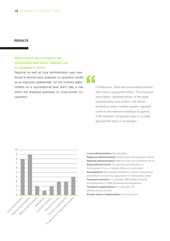# Which actors are involved in the cooperation and which category can be assigned to them?

Regional as well as local administration was mentioned in almost every analysed co-operation model as an important stakeholder. On the contrary stakeholders on a supranational level didn't play a role within the analysed examples of cross-border cooperation.

 $\epsilon$ 

Furthermore, there are associated partners who have a supportive effect: The transport association, representatives of the state administration and politics, the Kairos Institute or other mobility experts regularly come to the network meetings as guests, if the member companies wish to provide appropriate input or exchange."



**Local administration: Municipalities** 

Regional administration: Federal state and respective offices National administration: National state and respective offices **Supranational Level:** For example administration of the European Union or related offices and authorities Assiciantions: Municipality federations, tourism associations, associations concerning, associations of metropolitan areas Transport services: For example ÖBB (Österreichische Bundesbahnen) or SBB (Schweizer Bundesbahnen) Transport organisations: For example VVT (Verkehrsverbund Tirol) Private actors/stakeholders: Companies etc.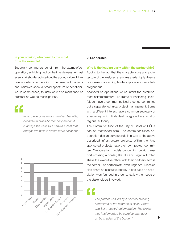#### In your opinion, who benefits the most from the example?

Especially commuters benefit from the example/cooperation, as highlighted by the interviewees. Almost every stakeholder pointed out the added value of their cross-border co-operation. The selected projects and initiatives show a broad spectrum of beneficiaries. In some cases, tourists were also mentioned as profiteer as well as municipalities.

In fact, everyone who is involved benefits, because in cross-border cooperation it is always the case to a certain extent that bridges are built to create more solidarity."



#### 2. Leadership

#### Who is the leading party within the partnership?

Adding to the fact that the characteristics and architecture of the analysed examples are/is highly diverse responses concerning leadership are also very heterogeneous.

Analysed co-operations which intent the establishment of infrastructure, like Tram3 or Rheinsteg Rheinfelden, have a common political steering committee but a separate technical project management. Some with a different interest have a common secretary or a secretary which finds itself integrated in a local or regional authority.

The Commuter fund of the City of Basel or BÜGA can be mentioned here. The commuter funds cooperation design corresponds in a way to the above described infrastructure projects. Within the fund sponsored projects have their own project committee. Co-operation models concerning public transport crossing a border, like TILO or Regio AS, often share the executive office with their partners across the border. The partners of Covoiturage Arc Jurassien also share an executive board. In one case an association was founded in order to satisfy the needs of the stakeholders involved.

> The project was led by a political steering committee of the cantons of Basel-Stadt and Saint-Louis Agglomération. The project was implemented by a project manager on both sides of the border."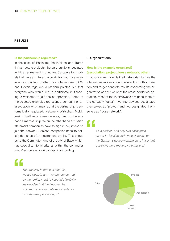#### Is the partnership regulated?

In the case of Rheinsteg Rheinfelden and Tram3 (infrastructure projects) the partnership is regulated within an agreement in principle. Co-operation models that have an interest in public transport are regulated via funding. Furthermore interviewees (CGN and Covoiturage Arc Jurassien) pointed out that everyone who would like to participate in financing is welcome to join the co-operation. Some of the selected examples represent a company or an association which means that the partnership is automatically regulated. Netzwerk Wirtschaft Mobil, seeing itself as a loose network, has on the one hand a membership fee on the other hand a mission statement companies have to sign if they intend to join the network. Besides companies need to satisfy demands of a requirement profile. This brings us to the Commuter fund of the city of Basel which has special territorial criteria. Within the commuter funds' scope everyone can apply for funding.

Theoretically in terms of statutes, we are open to any member concerned by the territory, but to keep this flexibility we decided that the two members (common and associate representative of companies) are enough."

#### 3. Organizations

# How is the example organized? (association, project, loose network, other)

In advance we have defined categories to give the interviewee an idea about the intention of this question and to get concrete results concerning the organization and structure of the cross-border co-operation. Most of the interviewees assigned them to the category "other", two interviewees designated themselves as "project" and two designated themselves as "loose network".

It's a project. And only two colleagues on the Swiss side and two colleagues on the German side are working on it. Important decisions were made by the mayors."

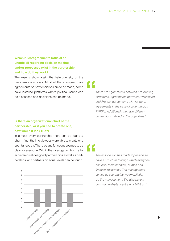# Which rules/agreements (official or unofficial) regarding decision making and/or processes exist in the partnership and how do they work?

The results show again the heterogeneity of the co-operation models. Most of the examples have agreements on how decisions are to be made, some have installed platforms where political issues can be discussed and decisions can be made.

There are agreements between pre-existing structures, agreements between Switzerland and France, agreements with funders, agreements in the case of order groups: PNRPJ. Additionally we have different conventions related to the objectives."

# Is there an organizational chart of the partnership, or if you had to create one, how would it look like?)

In almost every partnership there can be found a chart, if not the interviewees were able to create one spontaneously. The roles and functions seemed to be clear for everyone. Within the investigation both rather hierarchical designed partnerships as well as partnerships with partners on equal levels can be found.



"

The association has made it possible to have a structure through which everyone can pool their technical, human and financial resources. The management serves as secretariat; we (mobildée) do the management. We also have a common website: centralemobilité.ch"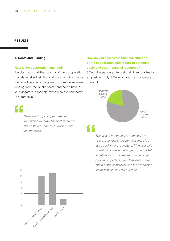#### 4. Costs and Funding

#### How is the cooperation financed?

Results show that the majority of the co-operation models receive their financial donations from more than one financier or program. Each model receives funding from the public sector and some have private donators, especially those who are connected to enterprises.

 $\epsilon$ 

There are 3 support programmes from which we draw financial resources. The costs are shared equally between the two cities."



80% of the partners interpret their financial situation as positive; only 20% evaluate it as moderate or doubtful.



 $\epsilon$ 

The task of the project is complex. Due to cross-border characteristics there is a large additional expenditure. Many specific questions arose in this project. The market situation for such infrastructure buildings plays an important role. Companies were afraid of the complexity and the associated financial costs and did not offer."

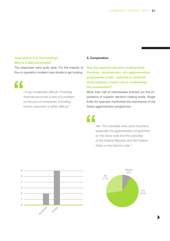# How hard is it to find funding? Why is it difficult/simple?

The responses were quite clear: For the majority of the co-operation models it was simple to get funding.

 $\epsilon$ 

I'd say moderately difficult. Providing financial resources is less of a problem on the part of companies, providing human resources is rather difficult."

#### 5. Cooperation

Has any superior decision-making level (funding-, development- a/o agglomerationprogramme on EU-, national or cantonal level) played a crucial role in establishing the cooperation?

More than half of interviewees pointed out the importance of superior decision-making levels. Roger Erdin for example mentioned the importance of the Swiss agglomeration programme.

 $\epsilon$ 

Yes. The subsidies were quite important, especially the agglomeration programme on the Swiss side and the subsidies of the Federal Republic and the Federal State on the German side."



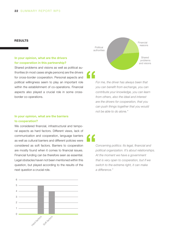# In your opinion, what are the drivers for cooperation in this partnership?

Shared problems and visions as well as political authorities (in most cases single persons) are the drivers for cross-border cooperation. Personal aspects and political willingness seem to play an important role within the establishment of co-operations. Financial aspects also played a crucial role in some crossborder co-operations.



We considered financial, infrastructural and temporal aspects as hard factors. Different views, lack of communication and cooperation, language barriers as well as cultural barriers and different policies were considered as soft factors. Barriers to cooperation are mostly found when it comes to financial issues. Financial funding can be therefore seen as essential. Legal obstacles haven not been mentioned within this question, but played according to the results of the next question a crucial role.



For me, the driver has always been that you can benefit from exchange, you can contribute your knowledge, you can learn from others, also the ideal and interest are the drivers for cooperation, that you can push things together that you would not be able to do alone."

Concerning politics: Its legal, financial and

political organization. It's about relationships. At the moment we have a government that is very open to cooperation, but if we switch to the extreme right, it can make a difference."

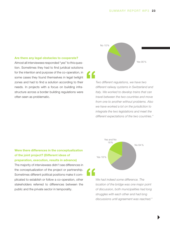#### Are there any legal obstacles to cooperate?

Almost all interviewees responded "yes" to this question. Sometimes they had to find juridical solutions for the intention and purpose of the co-operation, in some cases they found themselves in legal twilight zones and had to find a solution according to their needs. In projects with a focus on building infrastructure across a border building regulations were often seen as problematic.



Two different regulations, we have two different railway systems in Switzerland and Italy. We worked to develop trains that can travel between the two countries and move from one to another without problems. Also we have worked a lot on the jurisdiction to integrate the two legislations and meet the different expectations of the two countries."

# Were there differences in the conceptualization of the joint project? (Different ideas of preparation, execution, results in advance)

The majority of interviewees didn't see differences in the conceptualization of the project or partnership. Sometimes different political positions make it complicated to establish or follow a co-operation, other stakeholders referred to differences between the public and the private sector in temporality.



We had indeed some difference. The location of the bridge was one major point of discussion, both municipalities had long struggles with each other and had long discussions until agreement was reached."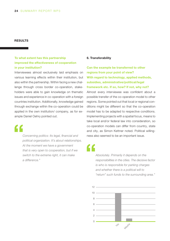# To what extent has this partnership improved the effectiveness of cooperation in your institution?

Interviewees almost exclusively laid emphasis on various learning effects within their institution, but also within the partnership. Within facing a new challenge through cross border co-operation, stakeholders were able to gain knowledge on thematic issues and experience in co-operation with a foreign countries institution. Additionally, knowledge gained through exchange within the co-operation could be applied in the own institution/ company, as for example Daniel Oehry pointed out.



Concerning politics: Its legal, financial and political organization. It's about relationships. At the moment we have a government that is very open to cooperation, but if we switch to the extreme right, it can make a difference."

#### 6. Transferability

Can the example be transferred to other regions from your point of view? With regard to technology, applied methods, subsidies, administrative/political/legal framework etc. If so, how? If not, why not? Almost every interviewee was confident about a possible transfer of the co-operation model to other regions. Some pointed out that local or regional conditions might be different so that the co-operation model has to be adapted to respective conditions. Implementing projects with a spatial focus, means to take local and/or federal law into consideration, so co-operation models can differ from country, state and city, as Simon Kettner noted. Political willingness also seemed to be an important issue.

C C

Absolutely. Primarily it depends on the responsibilities in the cities. The decisive factor is who is responsible for parking charges and whether there is a political will to "return" such funds to the surrounding area."

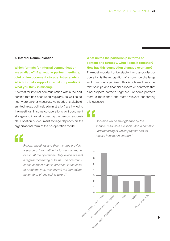#### 7. Internal Communication

Which formats for internal communication are available? (E.g. regular partner meetings, joint online document storage, intranet etc.). Which formats support internal cooperation? What you think is missing?

A format for internal communication within the partnership that has been used regularly, as well as adhoc, were partner meetings. As needed, stakeholders (technical, political, administration) are invited to the meetings. In some co-operations joint document storage and intranet is used by the person responsible. Location of document storage depends on the organizational form of the co-operation model.

"

Regular meetings and their minutes provide a source of information for further communication. At the operational daily level is present a regular monitoring of trains. The communication channel is set in advance. In the case of problems (e.g. train failure) the immediate action (e.g. phone call) is taken."

# What unites the partnership in terms of content and strategy, what keeps it together? How has this connection changed over time?

The most important uniting factor in cross-border cooperation is the recognition of a common challenge and common objectives. This is followed personal relationships and financial aspects or contracts that bind projects partners together. For some partners there is more than one factor relevant concerning this question.

Cohesion will be strengthened by the financial resources available. And a common understanding of which projects should receive how much support."

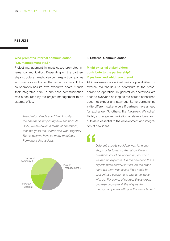# Who promotes internal communication (e.g. management etc.)?

Project management in most cases promotes internal communication. Depending on the partnerships structure it might also be transport companies who are responsible for the respective task. If the co-operation has its own executive board it finds itself integrated here. In one case communication was outsourced by the project management to an external office.

> The Canton Vaude and CGN. Usually the one that is proposing new solutions its CGN, we are driver in terms of operations, then we go to the Canton and work together. That is why we have so many meetings. Permanent discussions.



#### 8. External Communication

# Might external stakeholders contribute to the partnership? If yes how and which are these?

All interviewees underlined various possibilities for external stakeholders to contribute to the crossborder co-operation. In general co-operations are open to everyone as long as the person concerned does not expect any payment. Some partnerships invite different stakeholders if partners have a need for exchange. To others, like Netzwerk Wirtschaft Mobil, exchange and invitation of stakeholders from outside is essential to the development and integration of new ideas.

Different experts could be won for workshops or lectures, so that also different questions could be worked on, on which we had no expertise. On the one hand these experts were actively invited, on the other hand we were also asked if we could be present at a session and exchange ideas with us. For some, of course, this is great, because you have all the players from the big companies sitting at the same table."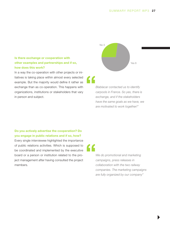# Is there exchange or cooperation with other examples and partnerships and if so, how does this work?

In a way the co-operation with other projects or initiatives is taking place within almost every selected example. But the majority would define it rather as exchange than as co-operation. This happens with organizations, institutions or stakeholders that vary in person and subject.



Blablacar contacted us to identify carpools in France. So yes, there is exchange, and if the stakeholders have the same goals as we have, we are motivated to work together!"

# Do you actively advertise the cooperation? Do you engage in public relations and if so, how?

Every single interviewee highlighted the importance of public relations activities. Which is supposed to be coordinated and implemented by the executive board or a person or institution related to the project management after having consulted the project members.

We do promotional and marketing campaigns, press releases in collaboration with the two railway companies. The marketing campaigns are fully organized by our company"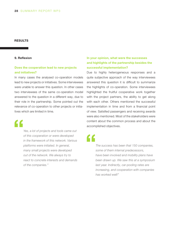#### 9. Reflexion

# Does the cooperation lead to new projects and initiatives?

In many cases the analysed co-operation models lead to new projects or initiatives. Some interviewees were unable to answer this question. In other cases two interviewees of the same co-operation model answered to the question in a different way, due to their role in the partnership. Some pointed out the relevance of co-operation to other projects or initiatives which are limited in time.



Yes, a lot of projects and tools came out of this cooperation or were developed in the framework of this network. Various platforms were initiated. In general, many small projects were developed out of the network. We always try to react to concrete interests and demands of the companies."

# In your opinion, what were the successes and highlights of the partnership besides the successful implementation?

Due to highly heterogeneous responses and a quite subjective approach of the way interviewees answered this question it is difficult to summarize the highlights of co-operation. Some interviewees highlighted the fruitful cooperative work together with the project partners, the ability to get along with each other. Others mentioned the successful implementation in time and from a financial point of view. Satisfied passengers and receiving awards were also mentioned. Most of the stakeholders were content about the common process and about the accomplished objectives.

"

The success has been that 150 companies, some of them internal predecessors, have been involved and mobility plans have been drawn up. We saw this at a symposium last year. Indirectly, car-pooling rates are increasing, and cooperation with companies has worked well!"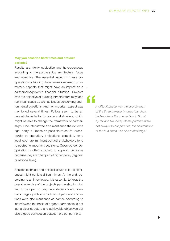# May you describe hard times and difficult periods?

Results are highly subjective and heterogeneous according to the partnerships architecture, focus and objective. The essential aspect in these cooperations is funding. Interviewees referred to numerous aspects that might have an impact on a partnerships/projects financial situation. Projects with the objective of building infrastructure may face technical issues as well as issues concerning environmental questions. Another important aspect was mentioned several times: Politics seem to be an unpredictable factor for some stakeholders, which might be able to change the framework of partnerships. One interviewee also mentioned the extreme right party in France as possible threat for crossborder co-operation. If elections, especially on a local level, are imminent political stakeholders tend to postpone important decisions. Cross-border cooperation is often exposed to superior decisions because they are often part of higher policy (regional or national level).

Besides technical and political issues cultural differences might conjure difficult times. At the end, according to an interviewee, it is essential to keep the overall objective of the project/ partnership in mind and to be open to pragmatic decisions and solutions. Legal/ juridical structures of partners' institutions were also mentioned as barrier. According to interviewees the basis of a good partnership is not just a clear structure and achievable objectives but also a good connection between project partners.

.

A difficult phase was the coordination of the three transport-nodes (Landeck, Ladina - here the connection to Scuol by rail and Nauders). Some partners were not always so cooperative, the coordination of the bus times was also a challenge."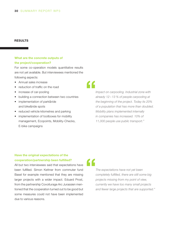# What are the concrete outputs of the project/cooperation?

For some co-operation models quantitative results are not yet available. But interviewees mentioned the following aspects:

- Annual sales increase
- reduction of traffic on the road
- increase of car-pooling
- building a connection between two countries
- implementation of park&ride and bike&ride spots
- reduced vehicle kilometres and parking
- implementation of toolboxes for mobility management, Ecopoints, Mobility-Checks, E-bike campaigns

<u>C C</u>

Impact on carpooling. Industrial zone with already 12 – 13 % of people carpooling at the beginning of the project. Today its 20% of a population that has more than doubled. Mobility plans implemented internally in companies has increased. 10% of 11,000 people use public transport."

# Have the original expectations of the cooperation/partnership been fulfilled?

All but two interviewees said that expectations have been fulfilled. Simon Kettner from commuter fund Basel for example mentioned that they are missing larger projects with a wider impact. Eduard Prost, from the partnership Covoiturage Arc Jurassien mentioned that the cooperation turned out to be good but some measures could not have been implemented due to various reasons.

"

The expectations have not yet been completely fulfilled, there are still some big projects missing from my point of view, currently we have too many small projects and fewer large projects that are supported."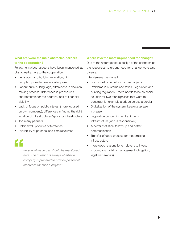# What are/were the main obstacles/barriers to the cooperation?

Following various aspects have been mentioned as obstacles/barriers to the cooperation:

- Legislation and building regulation, high complexity due to cross-border project
- • Labour culture, language, differences in decision making process, differences in procedures characteristic for the country, lack of financial visibility
- Lack of focus on public interest (more focused on own company), differences in finding the right location of infrastructures/spots for infrastructure
- Too many partners
- Political will, priorities of territories
- Availability of personal and time resources

Personnel resources should be mentioned here. The question is always whether a company is prepared to provide personnel resources for such a project."

#### Where lays the most urgent need for change?

Due to the heterogeneous design of the partnerships the responses to urgent need for change were also diverse.

Interviewees mentioned:

- For cross-border infrastructure projects: Problems in customs and taxes, Legislation and building regulation – there needs to be an easier solution for two municipalities that want to construct for example a bridge across a border
- Digitalization of the system, keeping up sale increase
- Legislation concerning embankmentinfrastructure (who is responsible?)
- A better statistical follow-up and better communication
- Transfer of good practice for modernising infrastructure
- more good reasons for employers to invest in company mobility management (obligation, legal frameworks)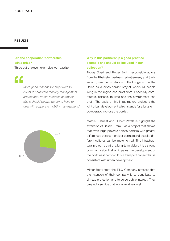# Did the cooperation/partnership win a prize?

Three out of eleven examples won a prize.

More good reasons for employers to invest in corporate mobility management are needed; above a certain company size it should be mandatory to have to deal with corporate mobility management."



# Why is this partnership a good practice example and should be included in our collection?

Tobias Obert and Roger Erdin, responsible actors from the Rheinsteg partnership in Germany and Switzerland, see the installation of the bridge across the Rhine as a cross-border project where all people living in the region can profit from. Especially commuters, citizens, tourists and the environment can profit. The basis of this infrastructure project is the joint urban development which stands for a long term co-operation across the border.

Mathieu Harnist and Hubert Vaxelaire highlight the extension of Basels' Tram 3 as a project that shows that even large projects across borders with greater differences between project partnersand despite different cultures can be implemented. This infrastructural project is part of a long-term vision. It is a strong common vision that anticipates the development of the northwest corridor. It is a transport project that is consistent with urban development.

Mister Botta from the TILO Company stresses that the intention of their company is to contribute to climate protection and to serve public interest. They created a service that works relatively well.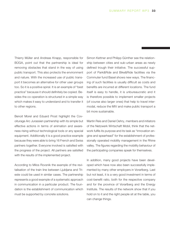Thierry Müller and Andreas Knapp, responsible for BÜGA, point out that the partnership is ideal for removing obstacles that stand in the way of using public transport. This also protects the environment and nature. With the increased use of public transport it becomes an alternative for other user groups too. So it is a positive spiral. It is an example of "best practice" because it should definitely be copied. Besides the co-operation is structured in a simple way which makes it easy to understand and to transfer it to other regions.

Benoit Morel and Eduard Prost highlight the Covoiturage Arc Jurassien partnership with its simple but effective actions in terms of animation and awareness rising without technological tools or any special equipment. Additionally it is a good practice example because they were able to bring 16 French and Swiss partners together. Everyone involved is satisfied with the progress of the project. All partners are satisfied with the results of the implemented project.

According to Milos Rovsnik the example of the revitalisation of the train line between Ljubljana and Trieste could be used in similar cases. The partnership represents a good example of a systematic approach in communication in a particular product. The foundation is the establishment of communication which must be supported by concrete solutions.

Simon Kettner and Philipp Günther see the relationship between cities and sub-urban areas as newly defined trough their initiative. The successful support of Park&Ride and Bike&Ride facilities via the Commuter fund Basel shows new ways. The financing of such facilities is usually difficult as costs and benefits are incurred at different locations. The fund itself is easy to handle, it is unbureaucratic and it is therefore possible to implement smaller projects (of course also larger ones) that help to travel intermodal, reduce the MIV and make public transport a bit more sustainable.

Martin Reis and Daniel Oehry, members and initiators of the Netzwerk Wirtschaft Mobil, think that the network fulfils its purpose and its task as "innovation engine and spearhead" for the establishment of professionally operated mobility management in the Rhine valley. The figures regarding the mobility behaviour of the participating companies speak for themselves.

In addition, many good projects have been developed which have now also been successfully implemented by many other employers in Vorarlberg. Last but not least, it is a very good investment in terms of cost-benefit ratio, both for the respective company and for the province of Vorarlberg and the Energy Institute. The results of the network show that if you hold on to it and the right people sit at the table, you can change things.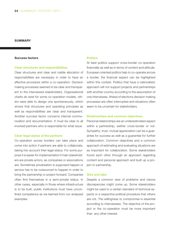#### **SUMMARY**

#### Success factors

#### Clear structures and responsibilities

Clear structures and clear and visible allocation of responsibilities are necessary in order to have an effective procedure within a co-operation. Decision making processes seemed to be clear and transparent to the interviewed stakeholders. Organisational charts do exist for some co-operation models, others were able to design one spontaneously, which shows that structures and operating principles as well as responsibilities are clear and transparent. Another success factor concerns internal communication and documentation. It must be clear to all involved partners who is responsible for what issue.

#### Clear legal status of the partners

Co-operation across borders can take place and come into action if partners are able to collaborate, taking into account their legal status. For some purpose it is easier for implementation if main stakeholders are private actors, as companies or associations are. Sometimes privatisation is supposed happen or service has to be outsourced to happen in order to bring the partnership or project forward. Companies often find themselves in a semi-private status. In other cases, especially in those where infrastructure is to be built, public institutions must have unconfined competence as we learned from our analysed examples.

#### **Politics**

At best politics support cross-border co-operation financially as well as in terms of content and attitude. European oriented politics help to co-operate across a border, the financial aspect can be highlighted within this context. Politics that have a nationalistic approach will not support projects and partnerships with another country according to the assumption of one interviewee. Ahead of elections decision making processes are often interrupted and situations often seem to be uncertain for stakeholders.

#### Relationships and common objectives

Personal relationships are an underestimated aspect within a partnership, wether cross-border or not. Sympathy, trust, mutual appreciation can be a guarantee for success as well as a guarantee for further collaboration. Common objectives and a common approach of estimating and evaluating situations are as important for collaboration. Some stakeholders found each other through an approach regarding content and personal approach and built up a project or partnership.

#### Give and take

Despite a common view of problems and visions discrepancies might come up. Some stakeholders might be used to a certain standard of technical aspects or a respective political procedure that others are not. The willingness to compromise is essential according to interviewees. The objective of the project or the co-operation must be more important than any other interest.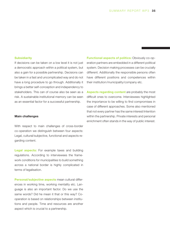#### **Subsidiarity**

If decisions can be taken on a low level it is not just a democratic approach within a political system, but also a gain for a possible partnership. Decisions can be taken in a fast and uncomplicated way and do not have a long procedure to go through. Additionally it brings a better self-conception and independency to stakeholders. This can of course also be seen as a risk. A sustainable institutional memory can be seen as an essential factor for a successful partnership.

#### Main challenges

With respect to main challenges of cross-border co-operation we distinguish between four aspects: Legal, cultural/subjective, functional and aspects regarding content.

Legal aspects: For example taxes and building regulations. According to interviewees the framework conditions for municipalities to build something across a national border is highly complicated in terms of legalisation.

Personal/subjective aspects mean cultural differences in working time, working mentality etc. Language is also an important factor. Do we use the same words? Did he mean it that or this way? Cooperation is based on relationships between institutions and people. Time and resources are another aspect which is crucial to a partnership.

Functional aspects of politics: Obviously co-operation partners are embedded in a different political system. Decision making processes can be crucially different. Additionally the responsible persons often have different positions and competences within their institution/municipality/company etc.

Aspects regarding content are probably the most difficult ones to overcome. Interviewees highlighted the importance to be willing to find compromises in case of different approaches. Some also mentioned that not every partner has the same interest/intention within the partnership. Private interests and personal enrichment often stands in the way of public interest.